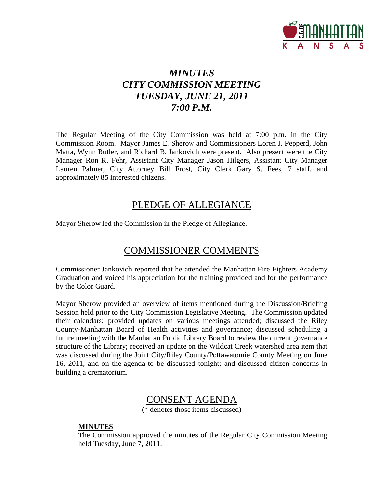

# *MINUTES CITY COMMISSION MEETING TUESDAY, JUNE 21, 2011 7:00 P.M.*

The Regular Meeting of the City Commission was held at 7:00 p.m. in the City Commission Room. Mayor James E. Sherow and Commissioners Loren J. Pepperd, John Matta, Wynn Butler, and Richard B. Jankovich were present. Also present were the City Manager Ron R. Fehr, Assistant City Manager Jason Hilgers, Assistant City Manager Lauren Palmer, City Attorney Bill Frost, City Clerk Gary S. Fees, 7 staff, and approximately 85 interested citizens.

### PLEDGE OF ALLEGIANCE

Mayor Sherow led the Commission in the Pledge of Allegiance.

### COMMISSIONER COMMENTS

Commissioner Jankovich reported that he attended the Manhattan Fire Fighters Academy Graduation and voiced his appreciation for the training provided and for the performance by the Color Guard.

Mayor Sherow provided an overview of items mentioned during the Discussion/Briefing Session held prior to the City Commission Legislative Meeting. The Commission updated their calendars; provided updates on various meetings attended; discussed the Riley County-Manhattan Board of Health activities and governance; discussed scheduling a future meeting with the Manhattan Public Library Board to review the current governance structure of the Library; received an update on the Wildcat Creek watershed area item that was discussed during the Joint City/Riley County/Pottawatomie County Meeting on June 16, 2011, and on the agenda to be discussed tonight; and discussed citizen concerns in building a crematorium.

### CONSENT AGENDA

(\* denotes those items discussed)

#### **MINUTES**

The Commission approved the minutes of the Regular City Commission Meeting held Tuesday, June 7, 2011.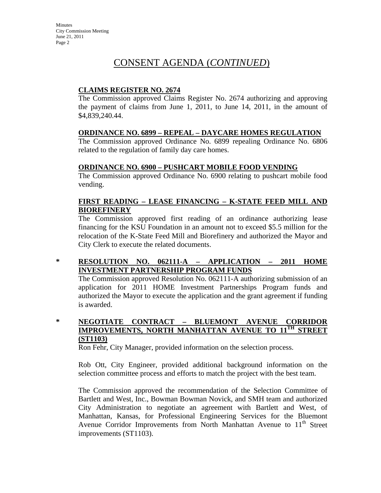### CONSENT AGENDA (*CONTINUED*)

#### **CLAIMS REGISTER NO. 2674**

The Commission approved Claims Register No. 2674 authorizing and approving the payment of claims from June 1, 2011, to June 14, 2011, in the amount of \$4,839,240.44.

#### **ORDINANCE NO. 6899 – REPEAL – DAYCARE HOMES REGULATION**

The Commission approved Ordinance No. 6899 repealing Ordinance No. 6806 related to the regulation of family day care homes.

#### **ORDINANCE NO. 6900 – PUSHCART MOBILE FOOD VENDING**

The Commission approved Ordinance No. 6900 relating to pushcart mobile food vending.

#### **FIRST READING – LEASE FINANCING – K-STATE FEED MILL AND BIOREFINERY**

The Commission approved first reading of an ordinance authorizing lease financing for the KSU Foundation in an amount not to exceed \$5.5 million for the relocation of the K-State Feed Mill and Biorefinery and authorized the Mayor and City Clerk to execute the related documents.

#### **\* RESOLUTION NO. 062111-A – APPLICATION – 2011 HOME INVESTMENT PARTNERSHIP PROGRAM FUNDS**

The Commission approved Resolution No. 062111-A authorizing submission of an application for 2011 HOME Investment Partnerships Program funds and authorized the Mayor to execute the application and the grant agreement if funding is awarded.

#### **\* NEGOTIATE CONTRACT – BLUEMONT AVENUE CORRIDOR IMPROVEMENTS, NORTH MANHATTAN AVENUE TO 11<sup>TH</sup> STREET (ST1103)**

Ron Fehr, City Manager, provided information on the selection process.

Rob Ott, City Engineer, provided additional background information on the selection committee process and efforts to match the project with the best team.

The Commission approved the recommendation of the Selection Committee of Bartlett and West, Inc., Bowman Bowman Novick, and SMH team and authorized City Administration to negotiate an agreement with Bartlett and West, of Manhattan, Kansas, for Professional Engineering Services for the Bluemont Avenue Corridor Improvements from North Manhattan Avenue to  $11<sup>th</sup>$  Street improvements (ST1103).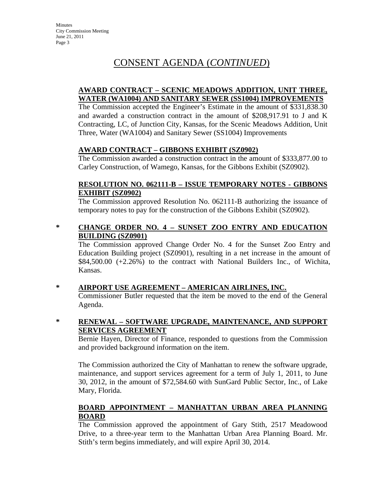# CONSENT AGENDA (*CONTINUED*)

#### **AWARD CONTRACT – SCENIC MEADOWS ADDITION, UNIT THREE, WATER (WA1004) AND SANITARY SEWER (SS1004) IMPROVEMENTS**

The Commission accepted the Engineer's Estimate in the amount of \$331,838.30 and awarded a construction contract in the amount of \$208,917.91 to J and K Contracting, LC, of Junction City, Kansas, for the Scenic Meadows Addition, Unit Three, Water (WA1004) and Sanitary Sewer (SS1004) Improvements

#### **AWARD CONTRACT – GIBBONS EXHIBIT (SZ0902)**

The Commission awarded a construction contract in the amount of \$333,877.00 to Carley Construction, of Wamego, Kansas, for the Gibbons Exhibit (SZ0902).

#### **RESOLUTION NO. 062111-B – ISSUE TEMPORARY NOTES - GIBBONS EXHIBIT (SZ0902)**

The Commission approved Resolution No. 062111-B authorizing the issuance of temporary notes to pay for the construction of the Gibbons Exhibit (SZ0902).

#### **\* CHANGE ORDER NO. 4 – SUNSET ZOO ENTRY AND EDUCATION BUILDING (SZ0901)**

The Commission approved Change Order No. 4 for the Sunset Zoo Entry and Education Building project (SZ0901), resulting in a net increase in the amount of \$84,500.00 (+2.26%) to the contract with National Builders Inc., of Wichita, Kansas.

#### **\* AIRPORT USE AGREEMENT – AMERICAN AIRLINES, INC.**

Commissioner Butler requested that the item be moved to the end of the General Agenda.

#### **\* RENEWAL – SOFTWARE UPGRADE, MAINTENANCE, AND SUPPORT SERVICES AGREEMENT**

Bernie Hayen, Director of Finance, responded to questions from the Commission and provided background information on the item.

The Commission authorized the City of Manhattan to renew the software upgrade, maintenance, and support services agreement for a term of July 1, 2011, to June 30, 2012, in the amount of \$72,584.60 with SunGard Public Sector, Inc., of Lake Mary, Florida.

#### **BOARD APPOINTMENT – MANHATTAN URBAN AREA PLANNING BOARD**

The Commission approved the appointment of Gary Stith, 2517 Meadowood Drive, to a three-year term to the Manhattan Urban Area Planning Board. Mr. Stith's term begins immediately, and will expire April 30, 2014.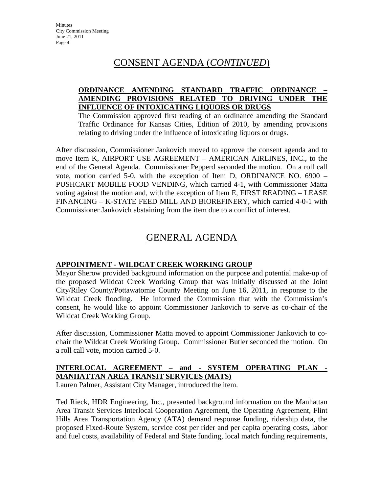### CONSENT AGENDA (*CONTINUED*)

#### **ORDINANCE AMENDING STANDARD TRAFFIC ORDINANCE – AMENDING PROVISIONS RELATED TO DRIVING UNDER THE INFLUENCE OF INTOXICATING LIQUORS OR DRUGS**

The Commission approved first reading of an ordinance amending the Standard Traffic Ordinance for Kansas Cities, Edition of 2010, by amending provisions relating to driving under the influence of intoxicating liquors or drugs.

After discussion, Commissioner Jankovich moved to approve the consent agenda and to move Item K, AIRPORT USE AGREEMENT – AMERICAN AIRLINES, INC., to the end of the General Agenda. Commissioner Pepperd seconded the motion. On a roll call vote, motion carried 5-0, with the exception of Item D, ORDINANCE NO. 6900 – PUSHCART MOBILE FOOD VENDING, which carried 4-1, with Commissioner Matta voting against the motion and, with the exception of Item E, FIRST READING – LEASE FINANCING – K-STATE FEED MILL AND BIOREFINERY, which carried 4-0-1 with Commissioner Jankovich abstaining from the item due to a conflict of interest.

### GENERAL AGENDA

#### **APPOINTMENT - WILDCAT CREEK WORKING GROUP**

Mayor Sherow provided background information on the purpose and potential make-up of the proposed Wildcat Creek Working Group that was initially discussed at the Joint City/Riley County/Pottawatomie County Meeting on June 16, 2011, in response to the Wildcat Creek flooding. He informed the Commission that with the Commission's consent, he would like to appoint Commissioner Jankovich to serve as co-chair of the Wildcat Creek Working Group.

After discussion, Commissioner Matta moved to appoint Commissioner Jankovich to cochair the Wildcat Creek Working Group. Commissioner Butler seconded the motion. On a roll call vote, motion carried 5-0.

#### **INTERLOCAL AGREEMENT – and - SYSTEM OPERATING PLAN - MANHATTAN AREA TRANSIT SERVICES (MATS)**

Lauren Palmer, Assistant City Manager, introduced the item.

Ted Rieck, HDR Engineering, Inc., presented background information on the Manhattan Area Transit Services Interlocal Cooperation Agreement, the Operating Agreement, Flint Hills Area Transportation Agency (ATA) demand response funding, ridership data, the proposed Fixed-Route System, service cost per rider and per capita operating costs, labor and fuel costs, availability of Federal and State funding, local match funding requirements,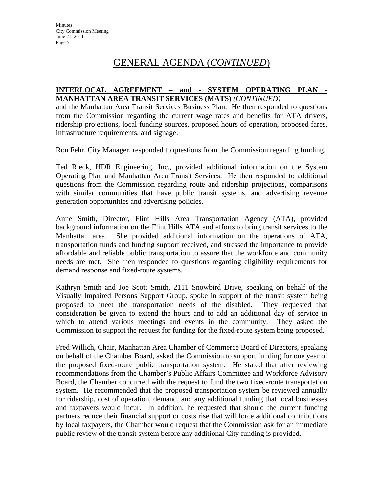#### **INTERLOCAL AGREEMENT – and - SYSTEM OPERATING PLAN - MANHATTAN AREA TRANSIT SERVICES (MATS)** *(CONTINUED)*

and the Manhattan Area Transit Services Business Plan. He then responded to questions from the Commission regarding the current wage rates and benefits for ATA drivers, ridership projections, local funding sources, proposed hours of operation, proposed fares, infrastructure requirements, and signage.

Ron Fehr, City Manager, responded to questions from the Commission regarding funding.

Ted Rieck, HDR Engineering, Inc., provided additional information on the System Operating Plan and Manhattan Area Transit Services. He then responded to additional questions from the Commission regarding route and ridership projections, comparisons with similar communities that have public transit systems, and advertising revenue generation opportunities and advertising policies.

Anne Smith, Director, Flint Hills Area Transportation Agency (ATA), provided background information on the Flint Hills ATA and efforts to bring transit services to the Manhattan area. She provided additional information on the operations of ATA, transportation funds and funding support received, and stressed the importance to provide affordable and reliable public transportation to assure that the workforce and community needs are met. She then responded to questions regarding eligibility requirements for demand response and fixed-route systems.

Kathryn Smith and Joe Scott Smith, 2111 Snowbird Drive, speaking on behalf of the Visually Impaired Persons Support Group, spoke in support of the transit system being proposed to meet the transportation needs of the disabled. They requested that consideration be given to extend the hours and to add an additional day of service in which to attend various meetings and events in the community. They asked the Commission to support the request for funding for the fixed-route system being proposed.

Fred Willich, Chair, Manhattan Area Chamber of Commerce Board of Directors, speaking on behalf of the Chamber Board, asked the Commission to support funding for one year of the proposed fixed-route public transportation system. He stated that after reviewing recommendations from the Chamber's Public Affairs Committee and Workforce Advisory Board, the Chamber concurred with the request to fund the two fixed-route transportation system. He recommended that the proposed transportation system be reviewed annually for ridership, cost of operation, demand, and any additional funding that local businesses and taxpayers would incur. In addition, he requested that should the current funding partners reduce their financial support or costs rise that will force additional contributions by local taxpayers, the Chamber would request that the Commission ask for an immediate public review of the transit system before any additional City funding is provided.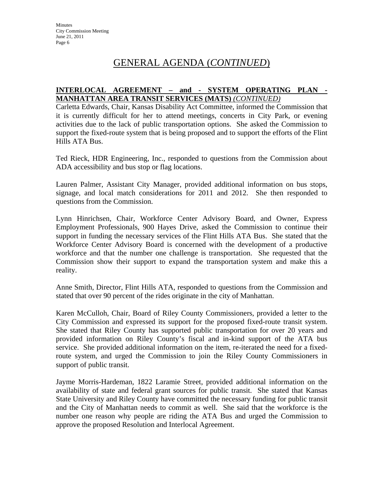#### **INTERLOCAL AGREEMENT – and - SYSTEM OPERATING PLAN - MANHATTAN AREA TRANSIT SERVICES (MATS)** *(CONTINUED)*

Carletta Edwards, Chair, Kansas Disability Act Committee, informed the Commission that it is currently difficult for her to attend meetings, concerts in City Park, or evening activities due to the lack of public transportation options. She asked the Commission to support the fixed-route system that is being proposed and to support the efforts of the Flint Hills ATA Bus.

Ted Rieck, HDR Engineering, Inc., responded to questions from the Commission about ADA accessibility and bus stop or flag locations.

Lauren Palmer, Assistant City Manager, provided additional information on bus stops, signage, and local match considerations for 2011 and 2012. She then responded to questions from the Commission.

Lynn Hinrichsen, Chair, Workforce Center Advisory Board, and Owner, Express Employment Professionals, 900 Hayes Drive, asked the Commission to continue their support in funding the necessary services of the Flint Hills ATA Bus. She stated that the Workforce Center Advisory Board is concerned with the development of a productive workforce and that the number one challenge is transportation. She requested that the Commission show their support to expand the transportation system and make this a reality.

Anne Smith, Director, Flint Hills ATA, responded to questions from the Commission and stated that over 90 percent of the rides originate in the city of Manhattan.

Karen McCulloh, Chair, Board of Riley County Commissioners, provided a letter to the City Commission and expressed its support for the proposed fixed-route transit system. She stated that Riley County has supported public transportation for over 20 years and provided information on Riley County's fiscal and in-kind support of the ATA bus service. She provided additional information on the item, re-iterated the need for a fixedroute system, and urged the Commission to join the Riley County Commissioners in support of public transit.

Jayme Morris-Hardeman, 1822 Laramie Street, provided additional information on the availability of state and federal grant sources for public transit. She stated that Kansas State University and Riley County have committed the necessary funding for public transit and the City of Manhattan needs to commit as well. She said that the workforce is the number one reason why people are riding the ATA Bus and urged the Commission to approve the proposed Resolution and Interlocal Agreement.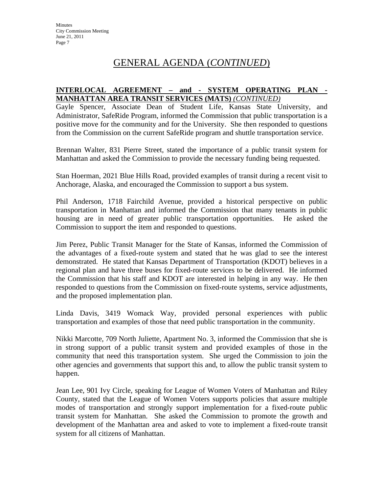#### **INTERLOCAL AGREEMENT – and - SYSTEM OPERATING PLAN - MANHATTAN AREA TRANSIT SERVICES (MATS)** *(CONTINUED)*

Gayle Spencer, Associate Dean of Student Life, Kansas State University, and Administrator, SafeRide Program, informed the Commission that public transportation is a positive move for the community and for the University. She then responded to questions from the Commission on the current SafeRide program and shuttle transportation service.

Brennan Walter, 831 Pierre Street, stated the importance of a public transit system for Manhattan and asked the Commission to provide the necessary funding being requested.

Stan Hoerman, 2021 Blue Hills Road, provided examples of transit during a recent visit to Anchorage, Alaska, and encouraged the Commission to support a bus system.

Phil Anderson, 1718 Fairchild Avenue, provided a historical perspective on public transportation in Manhattan and informed the Commission that many tenants in public housing are in need of greater public transportation opportunities. He asked the Commission to support the item and responded to questions.

Jim Perez, Public Transit Manager for the State of Kansas, informed the Commission of the advantages of a fixed-route system and stated that he was glad to see the interest demonstrated. He stated that Kansas Department of Transportation (KDOT) believes in a regional plan and have three buses for fixed-route services to be delivered. He informed the Commission that his staff and KDOT are interested in helping in any way. He then responded to questions from the Commission on fixed-route systems, service adjustments, and the proposed implementation plan.

Linda Davis, 3419 Womack Way, provided personal experiences with public transportation and examples of those that need public transportation in the community.

Nikki Marcotte, 709 North Juliette, Apartment No. 3, informed the Commission that she is in strong support of a public transit system and provided examples of those in the community that need this transportation system. She urged the Commission to join the other agencies and governments that support this and, to allow the public transit system to happen.

Jean Lee, 901 Ivy Circle, speaking for League of Women Voters of Manhattan and Riley County, stated that the League of Women Voters supports policies that assure multiple modes of transportation and strongly support implementation for a fixed-route public transit system for Manhattan. She asked the Commission to promote the growth and development of the Manhattan area and asked to vote to implement a fixed-route transit system for all citizens of Manhattan.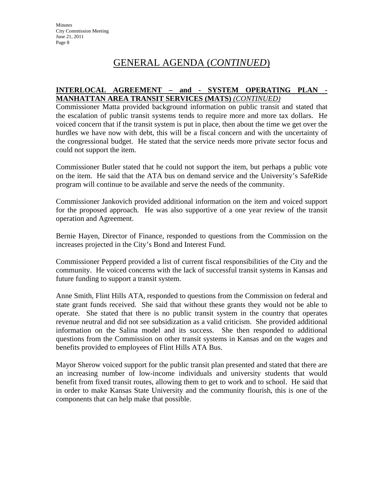#### **INTERLOCAL AGREEMENT – and - SYSTEM OPERATING PLAN - MANHATTAN AREA TRANSIT SERVICES (MATS)** *(CONTINUED)*

Commissioner Matta provided background information on public transit and stated that the escalation of public transit systems tends to require more and more tax dollars. He voiced concern that if the transit system is put in place, then about the time we get over the hurdles we have now with debt, this will be a fiscal concern and with the uncertainty of the congressional budget. He stated that the service needs more private sector focus and could not support the item.

Commissioner Butler stated that he could not support the item, but perhaps a public vote on the item. He said that the ATA bus on demand service and the University's SafeRide program will continue to be available and serve the needs of the community.

Commissioner Jankovich provided additional information on the item and voiced support for the proposed approach. He was also supportive of a one year review of the transit operation and Agreement.

Bernie Hayen, Director of Finance, responded to questions from the Commission on the increases projected in the City's Bond and Interest Fund.

Commissioner Pepperd provided a list of current fiscal responsibilities of the City and the community. He voiced concerns with the lack of successful transit systems in Kansas and future funding to support a transit system.

Anne Smith, Flint Hills ATA, responded to questions from the Commission on federal and state grant funds received. She said that without these grants they would not be able to operate. She stated that there is no public transit system in the country that operates revenue neutral and did not see subsidization as a valid criticism. She provided additional information on the Salina model and its success. She then responded to additional questions from the Commission on other transit systems in Kansas and on the wages and benefits provided to employees of Flint Hills ATA Bus.

Mayor Sherow voiced support for the public transit plan presented and stated that there are an increasing number of low-income individuals and university students that would benefit from fixed transit routes, allowing them to get to work and to school. He said that in order to make Kansas State University and the community flourish, this is one of the components that can help make that possible.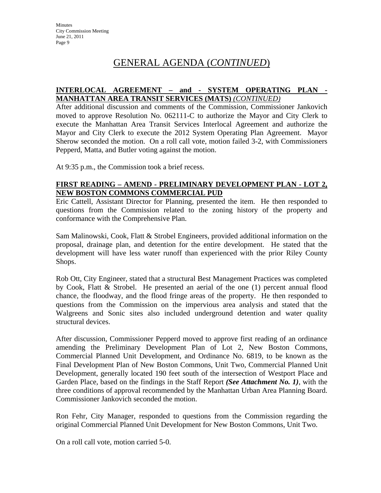#### **INTERLOCAL AGREEMENT – and - SYSTEM OPERATING PLAN - MANHATTAN AREA TRANSIT SERVICES (MATS)** *(CONTINUED)*

After additional discussion and comments of the Commission, Commissioner Jankovich moved to approve Resolution No. 062111-C to authorize the Mayor and City Clerk to execute the Manhattan Area Transit Services Interlocal Agreement and authorize the Mayor and City Clerk to execute the 2012 System Operating Plan Agreement. Mayor Sherow seconded the motion. On a roll call vote, motion failed 3-2, with Commissioners Pepperd, Matta, and Butler voting against the motion.

At 9:35 p.m., the Commission took a brief recess.

#### **FIRST READING – AMEND - PRELIMINARY DEVELOPMENT PLAN - LOT 2, NEW BOSTON COMMONS COMMERCIAL PUD**

Eric Cattell, Assistant Director for Planning, presented the item. He then responded to questions from the Commission related to the zoning history of the property and conformance with the Comprehensive Plan.

Sam Malinowski, Cook, Flatt & Strobel Engineers, provided additional information on the proposal, drainage plan, and detention for the entire development. He stated that the development will have less water runoff than experienced with the prior Riley County Shops.

Rob Ott, City Engineer, stated that a structural Best Management Practices was completed by Cook, Flatt & Strobel. He presented an aerial of the one (1) percent annual flood chance, the floodway, and the flood fringe areas of the property. He then responded to questions from the Commission on the impervious area analysis and stated that the Walgreens and Sonic sites also included underground detention and water quality structural devices.

After discussion, Commissioner Pepperd moved to approve first reading of an ordinance amending the Preliminary Development Plan of Lot 2, New Boston Commons, Commercial Planned Unit Development, and Ordinance No. 6819, to be known as the Final Development Plan of New Boston Commons, Unit Two, Commercial Planned Unit Development, generally located 190 feet south of the intersection of Westport Place and Garden Place, based on the findings in the Staff Report *(See Attachment No. 1)*, with the three conditions of approval recommended by the Manhattan Urban Area Planning Board. Commissioner Jankovich seconded the motion.

Ron Fehr, City Manager, responded to questions from the Commission regarding the original Commercial Planned Unit Development for New Boston Commons, Unit Two.

On a roll call vote, motion carried 5-0.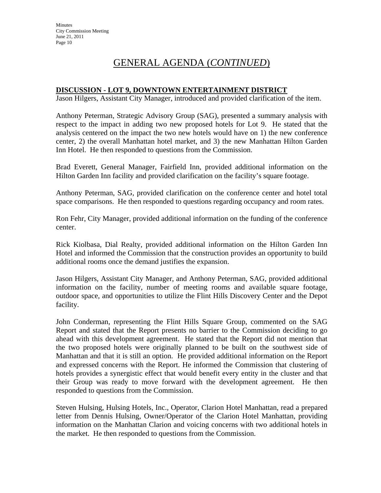#### **DISCUSSION - LOT 9, DOWNTOWN ENTERTAINMENT DISTRICT**

Jason Hilgers, Assistant City Manager, introduced and provided clarification of the item.

Anthony Peterman, Strategic Advisory Group (SAG), presented a summary analysis with respect to the impact in adding two new proposed hotels for Lot 9. He stated that the analysis centered on the impact the two new hotels would have on 1) the new conference center, 2) the overall Manhattan hotel market, and 3) the new Manhattan Hilton Garden Inn Hotel. He then responded to questions from the Commission.

Brad Everett, General Manager, Fairfield Inn, provided additional information on the Hilton Garden Inn facility and provided clarification on the facility's square footage.

Anthony Peterman, SAG, provided clarification on the conference center and hotel total space comparisons. He then responded to questions regarding occupancy and room rates.

Ron Fehr, City Manager, provided additional information on the funding of the conference center.

Rick Kiolbasa, Dial Realty, provided additional information on the Hilton Garden Inn Hotel and informed the Commission that the construction provides an opportunity to build additional rooms once the demand justifies the expansion.

Jason Hilgers, Assistant City Manager, and Anthony Peterman, SAG, provided additional information on the facility, number of meeting rooms and available square footage, outdoor space, and opportunities to utilize the Flint Hills Discovery Center and the Depot facility.

John Conderman, representing the Flint Hills Square Group, commented on the SAG Report and stated that the Report presents no barrier to the Commission deciding to go ahead with this development agreement. He stated that the Report did not mention that the two proposed hotels were originally planned to be built on the southwest side of Manhattan and that it is still an option. He provided additional information on the Report and expressed concerns with the Report. He informed the Commission that clustering of hotels provides a synergistic effect that would benefit every entity in the cluster and that their Group was ready to move forward with the development agreement. He then responded to questions from the Commission.

Steven Hulsing, Hulsing Hotels, Inc., Operator, Clarion Hotel Manhattan, read a prepared letter from Dennis Hulsing, Owner/Operator of the Clarion Hotel Manhattan, providing information on the Manhattan Clarion and voicing concerns with two additional hotels in the market. He then responded to questions from the Commission.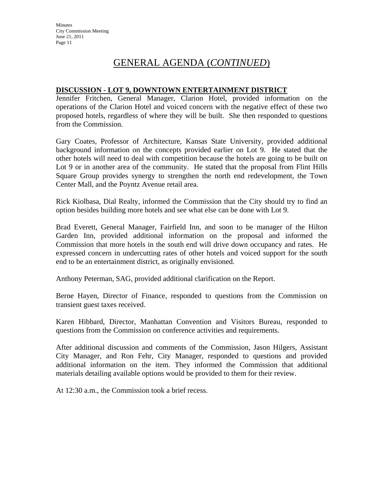#### **DISCUSSION - LOT 9, DOWNTOWN ENTERTAINMENT DISTRICT**

Jennifer Fritchen, General Manager, Clarion Hotel, provided information on the operations of the Clarion Hotel and voiced concern with the negative effect of these two proposed hotels, regardless of where they will be built. She then responded to questions from the Commission.

Gary Coates, Professor of Architecture, Kansas State University, provided additional background information on the concepts provided earlier on Lot 9. He stated that the other hotels will need to deal with competition because the hotels are going to be built on Lot 9 or in another area of the community. He stated that the proposal from Flint Hills Square Group provides synergy to strengthen the north end redevelopment, the Town Center Mall, and the Poyntz Avenue retail area.

Rick Kiolbasa, Dial Realty, informed the Commission that the City should try to find an option besides building more hotels and see what else can be done with Lot 9.

Brad Everett, General Manager, Fairfield Inn, and soon to be manager of the Hilton Garden Inn, provided additional information on the proposal and informed the Commission that more hotels in the south end will drive down occupancy and rates. He expressed concern in undercutting rates of other hotels and voiced support for the south end to be an entertainment district, as originally envisioned.

Anthony Peterman, SAG, provided additional clarification on the Report.

Berne Hayen, Director of Finance, responded to questions from the Commission on transient guest taxes received.

Karen Hibbard, Director, Manhattan Convention and Visitors Bureau, responded to questions from the Commission on conference activities and requirements.

After additional discussion and comments of the Commission, Jason Hilgers, Assistant City Manager, and Ron Fehr, City Manager, responded to questions and provided additional information on the item. They informed the Commission that additional materials detailing available options would be provided to them for their review.

At 12:30 a.m., the Commission took a brief recess.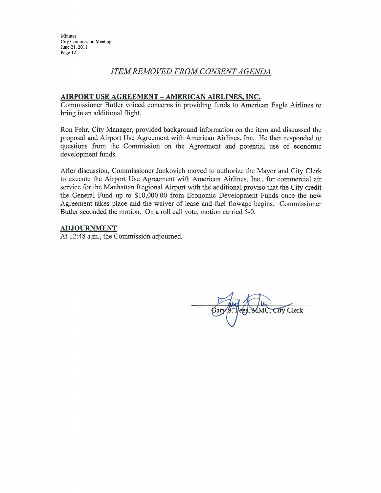Minutes **City Commission Meeting** June 21, 2011 Page 12

#### **ITEM REMOVED FROM CONSENT AGENDA**

#### AIRPORT USE AGREEMENT - AMERICAN AIRLINES, INC.

Commissioner Butler voiced concerns in providing funds to American Eagle Airlines to bring in an additional flight.

Ron Fehr, City Manager, provided background information on the item and discussed the proposal and Airport Use Agreement with American Airlines, Inc. He then responded to questions from the Commission on the Agreement and potential use of economic development funds.

After discussion, Commissioner Jankovich moved to authorize the Mayor and City Clerk to execute the Airport Use Agreement with American Airlines, Inc., for commercial air service for the Manhattan Regional Airport with the additional proviso that the City credit the General Fund up to \$10,000.00 from Economic Development Funds once the new Agreement takes place and the waiver of lease and fuel flowage begins. Commissioner Butler seconded the motion. On a roll call vote, motion carried 5-0.

#### **ADJOURNMENT**

At 12:48 a.m., the Commission adjourned.

MMC, City Clerk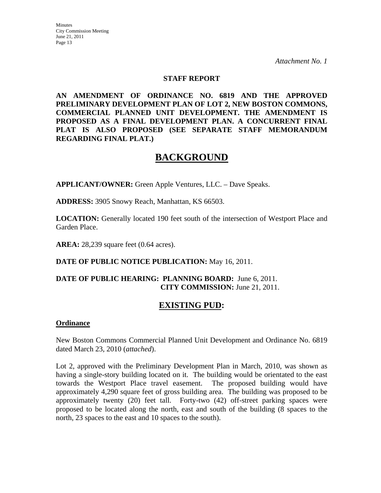#### **STAFF REPORT**

**AN AMENDMENT OF ORDINANCE NO. 6819 AND THE APPROVED PRELIMINARY DEVELOPMENT PLAN OF LOT 2, NEW BOSTON COMMONS, COMMERCIAL PLANNED UNIT DEVELOPMENT. THE AMENDMENT IS PROPOSED AS A FINAL DEVELOPMENT PLAN. A CONCURRENT FINAL PLAT IS ALSO PROPOSED (SEE SEPARATE STAFF MEMORANDUM REGARDING FINAL PLAT.)** 

### **BACKGROUND**

**APPLICANT/OWNER:** Green Apple Ventures, LLC. – Dave Speaks.

**ADDRESS:** 3905 Snowy Reach, Manhattan, KS 66503.

**LOCATION:** Generally located 190 feet south of the intersection of Westport Place and Garden Place.

**AREA:** 28,239 square feet (0.64 acres).

**DATE OF PUBLIC NOTICE PUBLICATION:** May 16, 2011.

#### **DATE OF PUBLIC HEARING: PLANNING BOARD:** June 6, 2011. **CITY COMMISSION:** June 21, 2011.

### **EXISTING PUD:**

#### **Ordinance**

New Boston Commons Commercial Planned Unit Development and Ordinance No. 6819 dated March 23, 2010 (*attached*).

Lot 2, approved with the Preliminary Development Plan in March, 2010, was shown as having a single-story building located on it. The building would be orientated to the east towards the Westport Place travel easement. The proposed building would have approximately 4,290 square feet of gross building area. The building was proposed to be approximately twenty (20) feet tall. Forty-two (42) off-street parking spaces were proposed to be located along the north, east and south of the building (8 spaces to the north, 23 spaces to the east and 10 spaces to the south).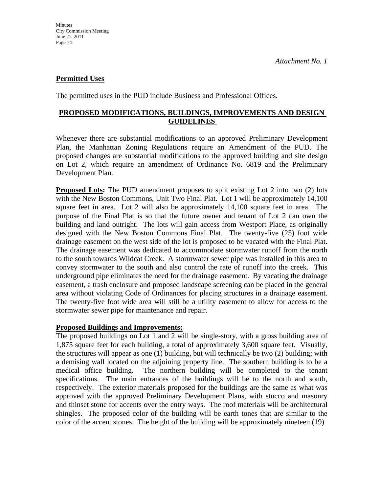#### **Permitted Uses**

The permitted uses in the PUD include Business and Professional Offices.

#### **PROPOSED MODIFICATIONS, BUILDINGS, IMPROVEMENTS AND DESIGN GUIDELINES**

Whenever there are substantial modifications to an approved Preliminary Development Plan, the Manhattan Zoning Regulations require an Amendment of the PUD. The proposed changes are substantial modifications to the approved building and site design on Lot 2, which require an amendment of Ordinance No. 6819 and the Preliminary Development Plan.

**Proposed Lots:** The PUD amendment proposes to split existing Lot 2 into two (2) lots with the New Boston Commons, Unit Two Final Plat. Lot 1 will be approximately 14,100 square feet in area. Lot 2 will also be approximately 14,100 square feet in area. The purpose of the Final Plat is so that the future owner and tenant of Lot 2 can own the building and land outright. The lots will gain access from Westport Place, as originally designed with the New Boston Commons Final Plat. The twenty-five (25) foot wide drainage easement on the west side of the lot is proposed to be vacated with the Final Plat. The drainage easement was dedicated to accommodate stormwater runoff from the north to the south towards Wildcat Creek. A stormwater sewer pipe was installed in this area to convey stormwater to the south and also control the rate of runoff into the creek. This underground pipe eliminates the need for the drainage easement. By vacating the drainage easement, a trash enclosure and proposed landscape screening can be placed in the general area without violating Code of Ordinances for placing structures in a drainage easement. The twenty-five foot wide area will still be a utility easement to allow for access to the stormwater sewer pipe for maintenance and repair.

#### **Proposed Buildings and Improvements:**

The proposed buildings on Lot 1 and 2 will be single-story, with a gross building area of 1,875 square feet for each building, a total of approximately 3,600 square feet. Visually, the structures will appear as one (1) building, but will technically be two (2) building; with a demising wall located on the adjoining property line. The southern building is to be a medical office building. The northern building will be completed to the tenant specifications. The main entrances of the buildings will be to the north and south, respectively. The exterior materials proposed for the buildings are the same as what was approved with the approved Preliminary Development Plans, with stucco and masonry and thinset stone for accents over the entry ways. The roof materials will be architectural shingles. The proposed color of the building will be earth tones that are similar to the color of the accent stones. The height of the building will be approximately nineteen (19)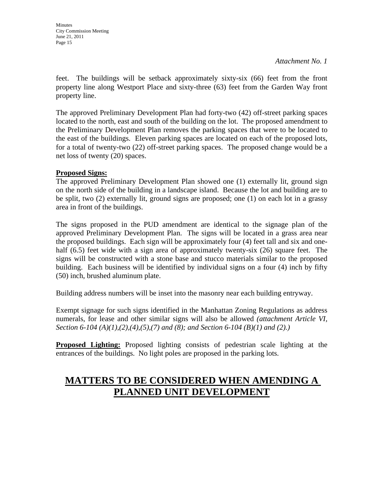**Minutes** City Commission Meeting June 21, 2011 Page 15

*Attachment No. 1* 

feet. The buildings will be setback approximately sixty-six (66) feet from the front property line along Westport Place and sixty-three (63) feet from the Garden Way front property line.

The approved Preliminary Development Plan had forty-two (42) off-street parking spaces located to the north, east and south of the building on the lot. The proposed amendment to the Preliminary Development Plan removes the parking spaces that were to be located to the east of the buildings. Eleven parking spaces are located on each of the proposed lots, for a total of twenty-two (22) off-street parking spaces. The proposed change would be a net loss of twenty (20) spaces.

#### **Proposed Signs:**

The approved Preliminary Development Plan showed one (1) externally lit, ground sign on the north side of the building in a landscape island. Because the lot and building are to be split, two (2) externally lit, ground signs are proposed; one (1) on each lot in a grassy area in front of the buildings.

The signs proposed in the PUD amendment are identical to the signage plan of the approved Preliminary Development Plan. The signs will be located in a grass area near the proposed buildings. Each sign will be approximately four (4) feet tall and six and onehalf (6.5) feet wide with a sign area of approximately twenty-six (26) square feet. The signs will be constructed with a stone base and stucco materials similar to the proposed building. Each business will be identified by individual signs on a four (4) inch by fifty (50) inch, brushed aluminum plate.

Building address numbers will be inset into the masonry near each building entryway.

Exempt signage for such signs identified in the Manhattan Zoning Regulations as address numerals, for lease and other similar signs will also be allowed *(attachment Article VI, Section 6-104 (A)(1),(2),(4),(5),(7) and (8); and Section 6-104 (B)(1) and (2).)*

**Proposed Lighting:** Proposed lighting consists of pedestrian scale lighting at the entrances of the buildings. No light poles are proposed in the parking lots.

# **MATTERS TO BE CONSIDERED WHEN AMENDING A PLANNED UNIT DEVELOPMENT**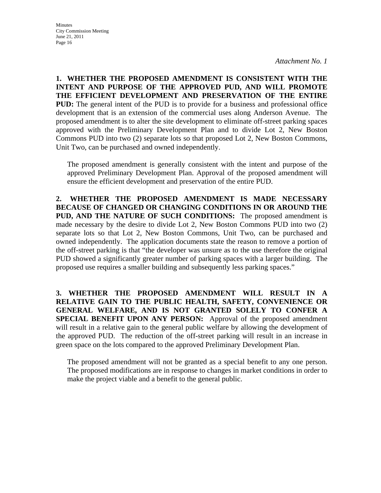**1. WHETHER THE PROPOSED AMENDMENT IS CONSISTENT WITH THE INTENT AND PURPOSE OF THE APPROVED PUD, AND WILL PROMOTE THE EFFICIENT DEVELOPMENT AND PRESERVATION OF THE ENTIRE PUD:** The general intent of the PUD is to provide for a business and professional office development that is an extension of the commercial uses along Anderson Avenue. The proposed amendment is to alter the site development to eliminate off-street parking spaces approved with the Preliminary Development Plan and to divide Lot 2, New Boston Commons PUD into two (2) separate lots so that proposed Lot 2, New Boston Commons, Unit Two, can be purchased and owned independently.

The proposed amendment is generally consistent with the intent and purpose of the approved Preliminary Development Plan. Approval of the proposed amendment will ensure the efficient development and preservation of the entire PUD.

**2. WHETHER THE PROPOSED AMENDMENT IS MADE NECESSARY BECAUSE OF CHANGED OR CHANGING CONDITIONS IN OR AROUND THE PUD, AND THE NATURE OF SUCH CONDITIONS:** The proposed amendment is made necessary by the desire to divide Lot 2, New Boston Commons PUD into two (2) separate lots so that Lot 2, New Boston Commons, Unit Two, can be purchased and owned independently. The application documents state the reason to remove a portion of the off-street parking is that "the developer was unsure as to the use therefore the original PUD showed a significantly greater number of parking spaces with a larger building. The proposed use requires a smaller building and subsequently less parking spaces."

**3. WHETHER THE PROPOSED AMENDMENT WILL RESULT IN A RELATIVE GAIN TO THE PUBLIC HEALTH, SAFETY, CONVENIENCE OR GENERAL WELFARE, AND IS NOT GRANTED SOLELY TO CONFER A SPECIAL BENEFIT UPON ANY PERSON:** Approval of the proposed amendment will result in a relative gain to the general public welfare by allowing the development of the approved PUD. The reduction of the off-street parking will result in an increase in green space on the lots compared to the approved Preliminary Development Plan.

The proposed amendment will not be granted as a special benefit to any one person. The proposed modifications are in response to changes in market conditions in order to make the project viable and a benefit to the general public.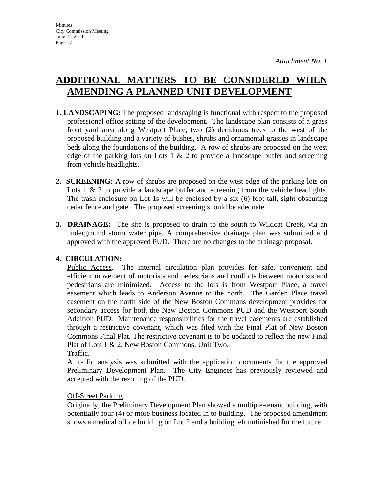# **ADDITIONAL MATTERS TO BE CONSIDERED WHEN AMENDING A PLANNED UNIT DEVELOPMENT**

- **1. LANDSCAPING:** The proposed landscaping is functional with respect to the proposed professional office setting of the development. The landscape plan consists of a grass front yard area along Westport Place, two (2) deciduous trees to the west of the proposed building and a variety of bushes, shrubs and ornamental grasses in landscape beds along the foundations of the building. A row of shrubs are proposed on the west edge of the parking lots on Lots 1  $\&$  2 to provide a landscape buffer and screening from vehicle headlights.
- **2. SCREENING:** A row of shrubs are proposed on the west edge of the parking lots on Lots 1 & 2 to provide a landscape buffer and screening from the vehicle headlights. The trash enclosure on Lot 1s will be enclosed by a six (6) foot tall, sight obscuring cedar fence and gate. The proposed screening should be adequate.
- **3. DRAINAGE:** The site is proposed to drain to the south to Wildcat Creek, via an underground storm water pipe. A comprehensive drainage plan was submitted and approved with the approved PUD. There are no changes to the drainage proposal.

#### **4. CIRCULATION:**

Public Access. The internal circulation plan provides for safe, convenient and efficient movement of motorists and pedestrians and conflicts between motorists and pedestrians are minimized. Access to the lots is from Westport Place, a travel easement which leads to Anderson Avenue to the north. The Garden Place travel easement on the north side of the New Boston Commons development provides for secondary access for both the New Boston Commons PUD and the Westport South Addition PUD. Maintenance responsibilities for the travel easements are established through a restrictive covenant, which was filed with the Final Plat of New Boston Commons Final Plat. The restrictive covenant is to be updated to reflect the new Final Plat of Lots 1 & 2, New Boston Commons, Unit Two.

Traffic.

A traffic analysis was submitted with the application documents for the approved Preliminary Development Plan. The City Engineer has previously reviewed and accepted with the rezoning of the PUD.

#### **Off-Street Parking.**

Originally, the Preliminary Development Plan showed a multiple-tenant building, with potentially four (4) or more business located in to building. The proposed amendment shows a medical office building on Lot 2 and a building left unfinished for the future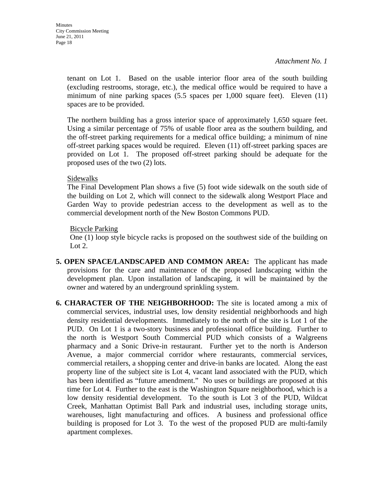tenant on Lot 1. Based on the usable interior floor area of the south building (excluding restrooms, storage, etc.), the medical office would be required to have a minimum of nine parking spaces (5.5 spaces per 1,000 square feet). Eleven (11) spaces are to be provided.

The northern building has a gross interior space of approximately 1,650 square feet. Using a similar percentage of 75% of usable floor area as the southern building, and the off-street parking requirements for a medical office building; a minimum of nine off-street parking spaces would be required. Eleven (11) off-street parking spaces are provided on Lot 1. The proposed off-street parking should be adequate for the proposed uses of the two (2) lots.

#### Sidewalks

The Final Development Plan shows a five (5) foot wide sidewalk on the south side of the building on Lot 2, which will connect to the sidewalk along Westport Place and Garden Way to provide pedestrian access to the development as well as to the commercial development north of the New Boston Commons PUD.

#### Bicycle Parking

One (1) loop style bicycle racks is proposed on the southwest side of the building on Lot 2.

- **5. OPEN SPACE/LANDSCAPED AND COMMON AREA:** The applicant has made provisions for the care and maintenance of the proposed landscaping within the development plan. Upon installation of landscaping, it will be maintained by the owner and watered by an underground sprinkling system.
- **6. CHARACTER OF THE NEIGHBORHOOD:** The site is located among a mix of commercial services, industrial uses, low density residential neighborhoods and high density residential developments. Immediately to the north of the site is Lot 1 of the PUD. On Lot 1 is a two-story business and professional office building. Further to the north is Westport South Commercial PUD which consists of a Walgreens pharmacy and a Sonic Drive-in restaurant. Further yet to the north is Anderson Avenue, a major commercial corridor where restaurants, commercial services, commercial retailers, a shopping center and drive-in banks are located. Along the east property line of the subject site is Lot 4, vacant land associated with the PUD, which has been identified as "future amendment." No uses or buildings are proposed at this time for Lot 4. Further to the east is the Washington Square neighborhood, which is a low density residential development. To the south is Lot 3 of the PUD, Wildcat Creek, Manhattan Optimist Ball Park and industrial uses, including storage units, warehouses, light manufacturing and offices. A business and professional office building is proposed for Lot 3. To the west of the proposed PUD are multi-family apartment complexes.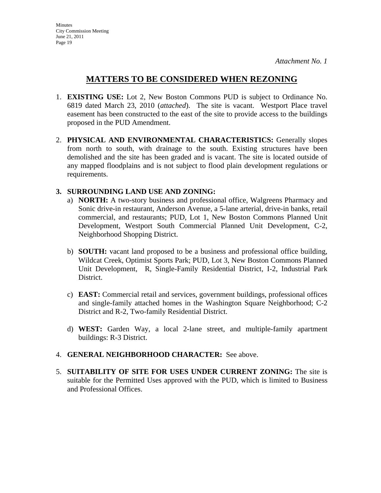### **MATTERS TO BE CONSIDERED WHEN REZONING**

- 1. **EXISTING USE:** Lot 2, New Boston Commons PUD is subject to Ordinance No. 6819 dated March 23, 2010 (*attached*). The site is vacant. Westport Place travel easement has been constructed to the east of the site to provide access to the buildings proposed in the PUD Amendment.
- 2. **PHYSICAL AND ENVIRONMENTAL CHARACTERISTICS:** Generally slopes from north to south, with drainage to the south. Existing structures have been demolished and the site has been graded and is vacant. The site is located outside of any mapped floodplains and is not subject to flood plain development regulations or requirements.

#### **3. SURROUNDING LAND USE AND ZONING:**

- a) **NORTH:** A two-story business and professional office, Walgreens Pharmacy and Sonic drive-in restaurant, Anderson Avenue, a 5-lane arterial, drive-in banks, retail commercial, and restaurants; PUD, Lot 1, New Boston Commons Planned Unit Development, Westport South Commercial Planned Unit Development, C-2, Neighborhood Shopping District.
- b) **SOUTH:** vacant land proposed to be a business and professional office building, Wildcat Creek, Optimist Sports Park; PUD, Lot 3, New Boston Commons Planned Unit Development, R, Single-Family Residential District, I-2, Industrial Park District.
- c) **EAST:** Commercial retail and services, government buildings, professional offices and single-family attached homes in the Washington Square Neighborhood; C-2 District and R-2, Two-family Residential District.
- d) **WEST:** Garden Way, a local 2-lane street, and multiple-family apartment buildings: R-3 District.
- 4. **GENERAL NEIGHBORHOOD CHARACTER:** See above.
- 5. **SUITABILITY OF SITE FOR USES UNDER CURRENT ZONING:** The site is suitable for the Permitted Uses approved with the PUD, which is limited to Business and Professional Offices.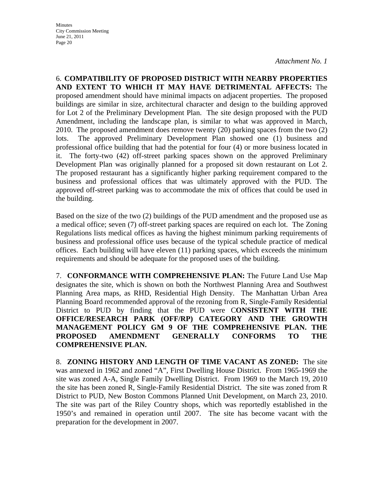6. **COMPATIBILITY OF PROPOSED DISTRICT WITH NEARBY PROPERTIES AND EXTENT TO WHICH IT MAY HAVE DETRIMENTAL AFFECTS:** The proposed amendment should have minimal impacts on adjacent properties. The proposed buildings are similar in size, architectural character and design to the building approved for Lot 2 of the Preliminary Development Plan. The site design proposed with the PUD Amendment, including the landscape plan, is similar to what was approved in March, 2010. The proposed amendment does remove twenty (20) parking spaces from the two (2) lots. The approved Preliminary Development Plan showed one (1) business and professional office building that had the potential for four (4) or more business located in it. The forty-two (42) off-street parking spaces shown on the approved Preliminary Development Plan was originally planned for a proposed sit down restaurant on Lot 2. The proposed restaurant has a significantly higher parking requirement compared to the business and professional offices that was ultimately approved with the PUD. The approved off-street parking was to accommodate the mix of offices that could be used in the building.

Based on the size of the two (2) buildings of the PUD amendment and the proposed use as a medical office; seven (7) off-street parking spaces are required on each lot. The Zoning Regulations lists medical offices as having the highest minimum parking requirements of business and professional office uses because of the typical schedule practice of medical offices. Each building will have eleven (11) parking spaces, which exceeds the minimum requirements and should be adequate for the proposed uses of the building.

7. **CONFORMANCE WITH COMPREHENSIVE PLAN:** The Future Land Use Map designates the site, which is shown on both the Northwest Planning Area and Southwest Planning Area maps, as RHD, Residential High Density. The Manhattan Urban Area Planning Board recommended approval of the rezoning from R, Single-Family Residential District to PUD by finding that the PUD were C**ONSISTENT WITH THE OFFICE/RESEARCH PARK (OFF/RP) CATEGORY AND THE GROWTH MANAGEMENT POLICY GM 9 OF THE COMPREHENSIVE PLAN. THE PROPOSED AMENDMENT GENERALLY CONFORMS TO THE COMPREHENSIVE PLAN.**

8. **ZONING HISTORY AND LENGTH OF TIME VACANT AS ZONED:** The site was annexed in 1962 and zoned "A", First Dwelling House District. From 1965-1969 the site was zoned A-A, Single Family Dwelling District. From 1969 to the March 19, 2010 the site has been zoned R, Single-Family Residential District. The site was zoned from R District to PUD, New Boston Commons Planned Unit Development, on March 23, 2010. The site was part of the Riley Country shops, which was reportedly established in the 1950's and remained in operation until 2007. The site has become vacant with the preparation for the development in 2007.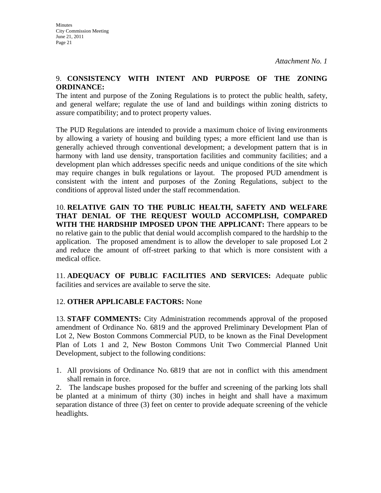#### 9. **CONSISTENCY WITH INTENT AND PURPOSE OF THE ZONING ORDINANCE:**

The intent and purpose of the Zoning Regulations is to protect the public health, safety, and general welfare; regulate the use of land and buildings within zoning districts to assure compatibility; and to protect property values.

The PUD Regulations are intended to provide a maximum choice of living environments by allowing a variety of housing and building types; a more efficient land use than is generally achieved through conventional development; a development pattern that is in harmony with land use density, transportation facilities and community facilities; and a development plan which addresses specific needs and unique conditions of the site which may require changes in bulk regulations or layout. The proposed PUD amendment is consistent with the intent and purposes of the Zoning Regulations, subject to the conditions of approval listed under the staff recommendation.

10. **RELATIVE GAIN TO THE PUBLIC HEALTH, SAFETY AND WELFARE THAT DENIAL OF THE REQUEST WOULD ACCOMPLISH, COMPARED WITH THE HARDSHIP IMPOSED UPON THE APPLICANT:** There appears to be no relative gain to the public that denial would accomplish compared to the hardship to the application. The proposed amendment is to allow the developer to sale proposed Lot 2 and reduce the amount of off-street parking to that which is more consistent with a medical office.

11. **ADEQUACY OF PUBLIC FACILITIES AND SERVICES:** Adequate public facilities and services are available to serve the site.

#### 12. **OTHER APPLICABLE FACTORS:** None

13. **STAFF COMMENTS:** City Administration recommends approval of the proposed amendment of Ordinance No. 6819 and the approved Preliminary Development Plan of Lot 2, New Boston Commons Commercial PUD, to be known as the Final Development Plan of Lots 1 and 2, New Boston Commons Unit Two Commercial Planned Unit Development, subject to the following conditions:

1. All provisions of Ordinance No. 6819 that are not in conflict with this amendment shall remain in force.

2. The landscape bushes proposed for the buffer and screening of the parking lots shall be planted at a minimum of thirty (30) inches in height and shall have a maximum separation distance of three (3) feet on center to provide adequate screening of the vehicle headlights.